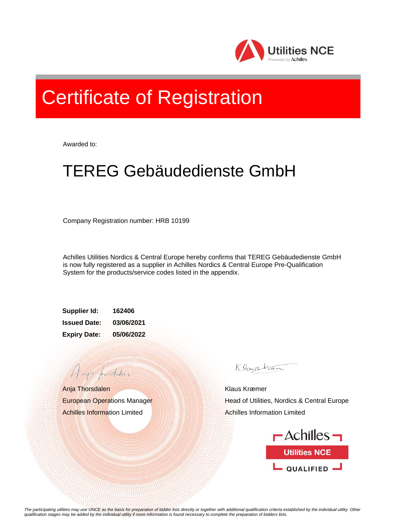

## Certificate of Registration

Awarded to:

## TEREG Gebäudedienste GmbH

Company Registration number: HRB 10199

Achilles Utilities Nordics & Central Europe hereby confirms that TEREG Gebäudedienste GmbH is now fully registered as a supplier in Achilles Nordics & Central Europe Pre-Qualification System for the products/service codes listed in the appendix.

**Supplier Id: 162406 Issued Date: 03/06/2021 Expiry Date: 05/06/2022**

Anja Thorsdalen European Operations Manager Achilles Information Limited

A aja providdan

Klauskam

Klaus Kræmer Head of Utilities, Nordics & Central Europe Achilles Information Limited



*The participating utilities may use UNCE as the basis for preparation of bidder lists directly or together with additional qualification criteria established by the individual utility. Other qualification stages may be added by the individual utility if more information is found necessary to complete the preparation of bidders lists.*